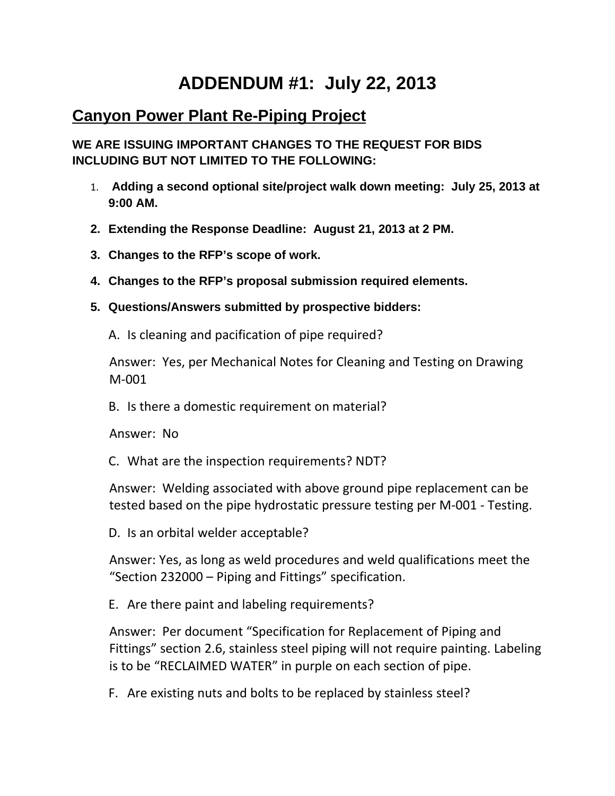## **ADDENDUM #1: July 22, 2013**

## **Canyon Power Plant Re-Piping Project**

**WE ARE ISSUING IMPORTANT CHANGES TO THE REQUEST FOR BIDS INCLUDING BUT NOT LIMITED TO THE FOLLOWING:**

- 1. **Adding a second optional site/project walk down meeting: July 25, 2013 at 9:00 AM.**
- **2. Extending the Response Deadline: August 21, 2013 at 2 PM.**
- **3. Changes to the RFP's scope of work.**
- **4. Changes to the RFP's proposal submission required elements.**
- **5. Questions/Answers submitted by prospective bidders:**
	- A. Is cleaning and pacification of pipe required?

Answer: Yes, per Mechanical Notes for Cleaning and Testing on Drawing M‐001

B. Is there a domestic requirement on material?

Answer: No

C. What are the inspection requirements? NDT?

Answer: Welding associated with above ground pipe replacement can be tested based on the pipe hydrostatic pressure testing per M‐001 ‐ Testing.

D. Is an orbital welder acceptable?

Answer: Yes, as long as weld procedures and weld qualifications meet the "Section 232000 – Piping and Fittings" specification.

E. Are there paint and labeling requirements?

Answer: Per document "Specification for Replacement of Piping and Fittings" section 2.6, stainless steel piping will not require painting. Labeling is to be "RECLAIMED WATER" in purple on each section of pipe.

F. Are existing nuts and bolts to be replaced by stainless steel?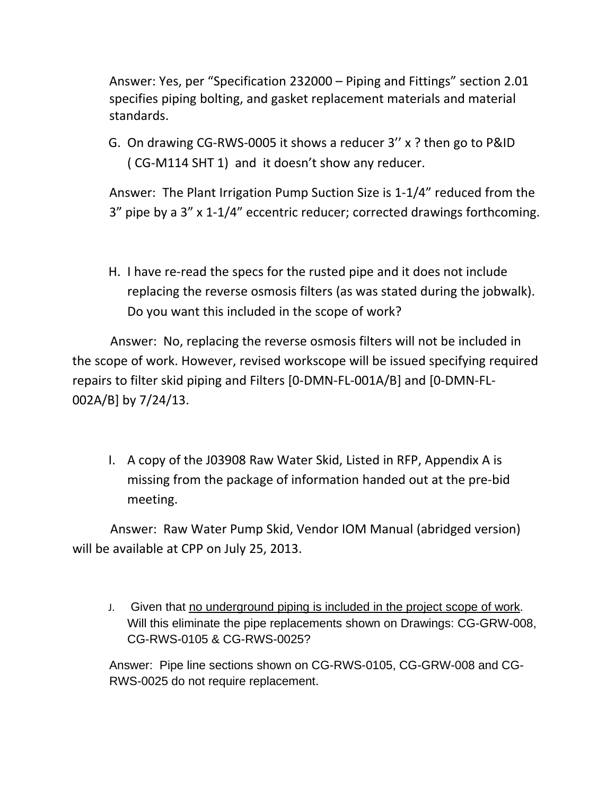Answer: Yes, per "Specification 232000 – Piping and Fittings" section 2.01 specifies piping bolting, and gasket replacement materials and material standards.

G. On drawing CG‐RWS‐0005 it shows a reducer 3'' x ? then go to P&ID ( CG‐M114 SHT 1) and it doesn't show any reducer.

Answer: The Plant Irrigation Pump Suction Size is 1‐1/4" reduced from the 3" pipe by a 3" x 1‐1/4" eccentric reducer; corrected drawings forthcoming.

H. I have re‐read the specs for the rusted pipe and it does not include replacing the reverse osmosis filters (as was stated during the jobwalk). Do you want this included in the scope of work?

 Answer: No, replacing the reverse osmosis filters will not be included in the scope of work. However, revised workscope will be issued specifying required repairs to filter skid piping and Filters [0‐DMN‐FL‐001A/B] and [0‐DMN‐FL‐ 002A/B] by 7/24/13.

I. A copy of the J03908 Raw Water Skid, Listed in RFP, Appendix A is missing from the package of information handed out at the pre‐bid meeting.

 Answer: Raw Water Pump Skid, Vendor IOM Manual (abridged version) will be available at CPP on July 25, 2013.

J. Given that no underground piping is included in the project scope of work. Will this eliminate the pipe replacements shown on Drawings: CG-GRW-008, CG-RWS-0105 & CG-RWS-0025?

Answer: Pipe line sections shown on CG-RWS-0105, CG-GRW-008 and CG-RWS-0025 do not require replacement.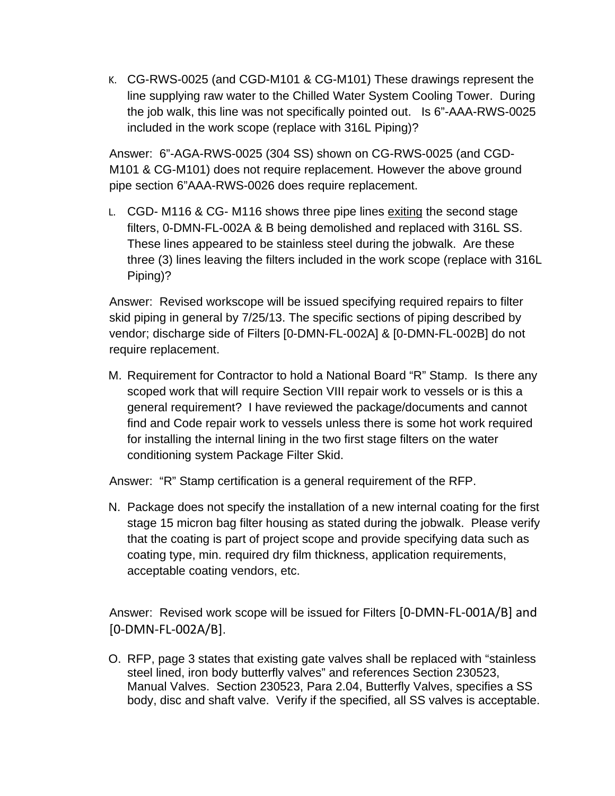K. CG-RWS-0025 (and CGD-M101 & CG-M101) These drawings represent the line supplying raw water to the Chilled Water System Cooling Tower. During the job walk, this line was not specifically pointed out. Is 6"-AAA-RWS-0025 included in the work scope (replace with 316L Piping)?

Answer: 6"-AGA-RWS-0025 (304 SS) shown on CG-RWS-0025 (and CGD-M101 & CG-M101) does not require replacement. However the above ground pipe section 6"AAA-RWS-0026 does require replacement.

L. CGD- M116 & CG- M116 shows three pipe lines exiting the second stage filters, 0-DMN-FL-002A & B being demolished and replaced with 316L SS. These lines appeared to be stainless steel during the jobwalk. Are these three (3) lines leaving the filters included in the work scope (replace with 316L Piping)?

Answer: Revised workscope will be issued specifying required repairs to filter skid piping in general by 7/25/13. The specific sections of piping described by vendor; discharge side of Filters [0-DMN-FL-002A] & [0-DMN-FL-002B] do not require replacement.

M. Requirement for Contractor to hold a National Board "R" Stamp. Is there any scoped work that will require Section VIII repair work to vessels or is this a general requirement? I have reviewed the package/documents and cannot find and Code repair work to vessels unless there is some hot work required for installing the internal lining in the two first stage filters on the water conditioning system Package Filter Skid.

Answer: "R" Stamp certification is a general requirement of the RFP.

N. Package does not specify the installation of a new internal coating for the first stage 15 micron bag filter housing as stated during the jobwalk. Please verify that the coating is part of project scope and provide specifying data such as coating type, min. required dry film thickness, application requirements, acceptable coating vendors, etc.

Answer: Revised work scope will be issued for Filters [0‐DMN‐FL‐001A/B] and [0‐DMN‐FL‐002A/B].

O. RFP, page 3 states that existing gate valves shall be replaced with "stainless steel lined, iron body butterfly valves" and references Section 230523, Manual Valves. Section 230523, Para 2.04, Butterfly Valves, specifies a SS body, disc and shaft valve. Verify if the specified, all SS valves is acceptable.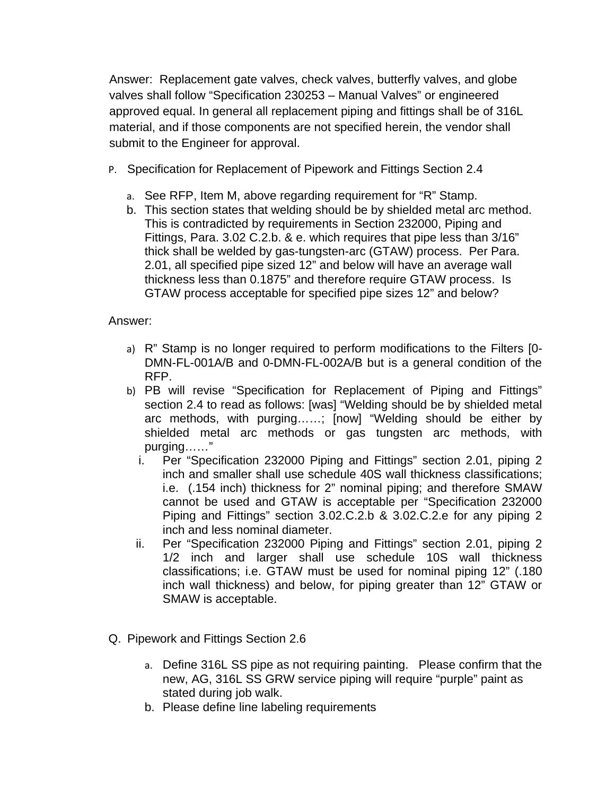Answer: Replacement gate valves, check valves, butterfly valves, and globe valves shall follow "Specification 230253 – Manual Valves" or engineered approved equal. In general all replacement piping and fittings shall be of 316L material, and if those components are not specified herein, the vendor shall submit to the Engineer for approval.

- P. Specification for Replacement of Pipework and Fittings Section 2.4
	- a. See RFP, Item M, above regarding requirement for "R" Stamp.
	- b. This section states that welding should be by shielded metal arc method. This is contradicted by requirements in Section 232000, Piping and Fittings, Para. 3.02 C.2.b. & e. which requires that pipe less than 3/16" thick shall be welded by gas-tungsten-arc (GTAW) process. Per Para. 2.01, all specified pipe sized 12" and below will have an average wall thickness less than 0.1875" and therefore require GTAW process. Is GTAW process acceptable for specified pipe sizes 12" and below?

## Answer:

- a) R" Stamp is no longer required to perform modifications to the Filters [0- DMN-FL-001A/B and 0-DMN-FL-002A/B but is a general condition of the RFP.
- b) PB will revise "Specification for Replacement of Piping and Fittings" section 2.4 to read as follows: [was] "Welding should be by shielded metal arc methods, with purging……; [now] "Welding should be either by shielded metal arc methods or gas tungsten arc methods, with purging……"
	- i. Per "Specification 232000 Piping and Fittings" section 2.01, piping 2 inch and smaller shall use schedule 40S wall thickness classifications; i.e. (.154 inch) thickness for 2" nominal piping; and therefore SMAW cannot be used and GTAW is acceptable per "Specification 232000 Piping and Fittings" section 3.02.C.2.b & 3.02.C.2.e for any piping 2 inch and less nominal diameter.
	- ii. Per "Specification 232000 Piping and Fittings" section 2.01, piping 2 1/2 inch and larger shall use schedule 10S wall thickness classifications; i.e. GTAW must be used for nominal piping 12" (.180 inch wall thickness) and below, for piping greater than 12" GTAW or SMAW is acceptable.
- Q. Pipework and Fittings Section 2.6
	- a. Define 316L SS pipe as not requiring painting. Please confirm that the new, AG, 316L SS GRW service piping will require "purple" paint as stated during job walk.
	- b. Please define line labeling requirements